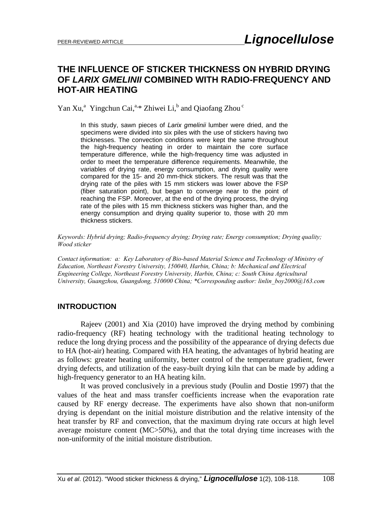# **THE INFLUENCE OF STICKER THICKNESS ON HYBRID DRYING OF** *LARIX GMELINII* **COMBINED WITH RADIO-FREQUENCY AND HOT-AIR HEATING**

Yan Xu,<sup>a</sup> Yingchun Cai,<sup>a,\*</sup> Zhiwei Li,<sup>b</sup> and Qiaofang Zhou<sup>c</sup>

In this study, sawn pieces of *Larix gmelinii* lumber were dried, and the specimens were divided into six piles with the use of stickers having two thicknesses. The convection conditions were kept the same throughout the high-frequency heating in order to maintain the core surface temperature difference, while the high-frequency time was adjusted in order to meet the temperature difference requirements. Meanwhile, the variables of drying rate, energy consumption, and drying quality were compared for the 15- and 20 mm-thick stickers. The result was that the drying rate of the piles with 15 mm stickers was lower above the FSP (fiber saturation point), but began to converge near to the point of reaching the FSP. Moreover, at the end of the drying process, the drying rate of the piles with 15 mm thickness stickers was higher than, and the energy consumption and drying quality superior to, those with 20 mm thickness stickers.

*Keywords: Hybrid drying; Radio-frequency drying; Drying rate; Energy consumption; Drying quality; Wood sticker* 

*Contact information: a: Key Laboratory of Bio-based Material Science and Technology of Ministry of Education, Northeast Forestry University, 150040, Harbin, China; b: Mechanical and Electrical Engineering College, Northeast Forestry University, Harbin, China; c: South China Agricultural University, Guangzhou, Guangdong, 510000 China; \*Corresponding author: linlin\_boy2000@163.com* 

## **INTRODUCTION**

 Rajeev (2001) and Xia (2010) have improved the drying method by combining radio-frequency (RF) heating technology with the traditional heating technology to reduce the long drying process and the possibility of the appearance of drying defects due to HA (hot-air) heating. Compared with HA heating, the advantages of hybrid heating are as follows: greater heating uniformity, better control of the temperature gradient, fewer drying defects, and utilization of the easy-built drying kiln that can be made by adding a high-frequency generator to an HA heating kiln.

 It was proved conclusively in a previous study (Poulin and Dostie 1997) that the values of the heat and mass transfer coefficients increase when the evaporation rate caused by RF energy decrease. The experiments have also shown that non-uniform drying is dependant on the initial moisture distribution and the relative intensity of the heat transfer by RF and convection, that the maximum drying rate occurs at high level average moisture content (MC>50%), and that the total drying time increases with the non-uniformity of the initial moisture distribution.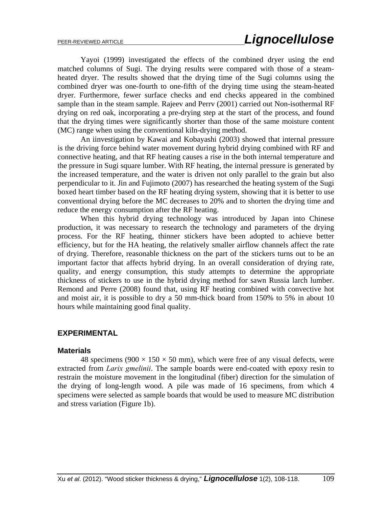Yayoi (1999) investigated the effects of the combined dryer using the end matched columns of Sugi. The drying results were compared with those of a steamheated dryer. The results showed that the drying time of the Sugi columns using the combined dryer was one-fourth to one-fifth of the drying time using the steam-heated dryer. Furthermore, fewer surface checks and end checks appeared in the combined sample than in the steam sample. Rajeev and Perrv (2001) carried out Non-isothermal RF drying on red oak, incorporating a pre-drying step at the start of the process, and found that the drying times were significantly shorter than those of the same moisture content (MC) range when using the conventional kiln-drying method.

 An iinvestigation by Kawai and Kobayashi (2003) showed that internal pressure is the driving force behind water movement during hybrid drying combined with RF and connective heating, and that RF heating causes a rise in the both internal temperature and the pressure in Sugi square lumber. With RF heating, the internal pressure is generated by the increased temperature, and the water is driven not only parallel to the grain but also perpendicular to it. Jin and Fujimoto (2007) has researched the heating system of the Sugi boxed heart timber based on the RF heating drying system, showing that it is better to use conventional drying before the MC decreases to 20% and to shorten the drying time and reduce the energy consumption after the RF heating.

 When this hybrid drying technology was introduced by Japan into Chinese production, it was necessary to research the technology and parameters of the drying process. For the RF heating, thinner stickers have been adopted to achieve better efficiency, but for the HA heating, the relatively smaller airflow channels affect the rate of drying. Therefore, reasonable thickness on the part of the stickers turns out to be an important factor that affects hybrid drying. In an overall consideration of drying rate, quality, and energy consumption, this study attempts to determine the appropriate thickness of stickers to use in the hybrid drying method for sawn Russia larch lumber. Remond and Perre (2008) found that, using RF heating combined with convective hot and moist air, it is possible to dry a 50 mm-thick board from 150% to 5% in about 10 hours while maintaining good final quality.

#### **EXPERIMENTAL**

#### **Materials**

48 specimens ( $900 \times 150 \times 50$  mm), which were free of any visual defects, were extracted from *Larix gmelinii*. The sample boards were end-coated with epoxy resin to restrain the moisture movement in the longitudinal (fiber) direction for the simulation of the drying of long-length wood. A pile was made of 16 specimens, from which 4 specimens were selected as sample boards that would be used to measure MC distribution and stress variation (Figure 1b).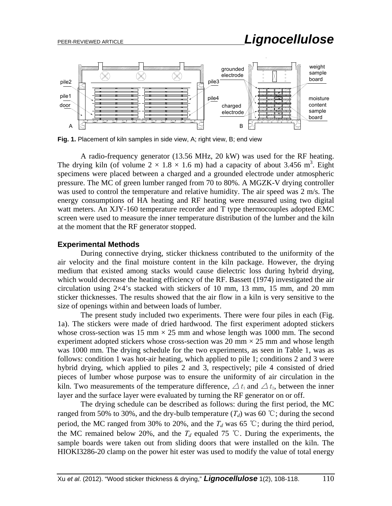# PEER-REVIEWED ARTICLE *Lignocellulose*



**Fig. 1.** Placement of kiln samples in side view, A; right view, B; end view

 A radio-frequency generator (13.56 MHz, 20 kW) was used for the RF heating. The drying kiln (of volume  $2 \times 1.8 \times 1.6$  m) had a capacity of about 3.456 m<sup>3</sup>. Eight specimens were placed between a charged and a grounded electrode under atmospheric pressure. The MC of green lumber ranged from 70 to 80%. A MGZK-V drying controller was used to control the temperature and relative humidity. The air speed was 2 m/s. The energy consumptions of HA heating and RF heating were measured using two digital watt meters. An XJY-160 temperature recorder and T type thermocouples adopted EMC screen were used to measure the inner temperature distribution of the lumber and the kiln at the moment that the RF generator stopped.

## **Experimental Methods**

 During connective drying, sticker thickness contributed to the uniformity of the air velocity and the final moisture content in the kiln package. However, the drying medium that existed among stacks would cause dielectric loss during hybrid drying, which would decrease the heating efficiency of the RF. Bassett (1974) investigated the air circulation using  $2\times4$ 's stacked with stickers of 10 mm, 13 mm, 15 mm, and 20 mm sticker thicknesses. The results showed that the air flow in a kiln is very sensitive to the size of openings within and between loads of lumber.

 The present study included two experiments. There were four piles in each (Fig. 1a). The stickers were made of dried hardwood. The first experiment adopted stickers whose cross-section was 15 mm  $\times$  25 mm and whose length was 1000 mm. The second experiment adopted stickers whose cross-section was 20 mm  $\times$  25 mm and whose length was 1000 mm. The drying schedule for the two experiments, as seen in Table 1, was as follows: condition 1 was hot-air heating, which applied to pile 1; conditions 2 and 3 were hybrid drying, which applied to piles 2 and 3, respectively; pile 4 consisted of dried pieces of lumber whose purpose was to ensure the uniformity of air circulation in the kiln. Two measurements of the temperature difference,  $\Delta t_1$  and  $\Delta t_2$ , between the inner layer and the surface layer were evaluated by turning the RF generator on or off.

The drying schedule can be described as follows: during the first period, the MC ranged from 50% to 30%, and the dry-bulb temperature  $(T_d)$  was 60 °C; during the second period, the MC ranged from 30% to 20%, and the  $T_d$  was 65 °C; during the third period, the MC remained below 20%, and the  $T_d$  equaled 75 °C. During the experiments, the sample boards were taken out from sliding doors that were installed on the kiln. The HIOKI3286-20 clamp on the power hit ester was used to modify the value of total energy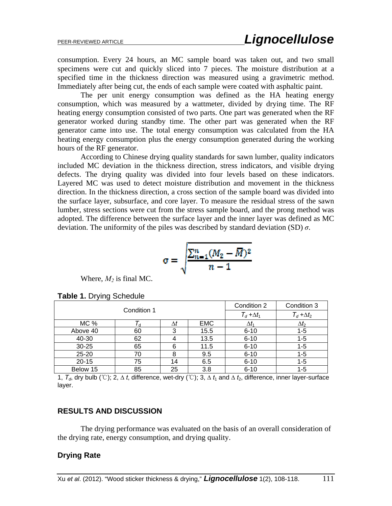consumption. Every 24 hours, an MC sample board was taken out, and two small specimens were cut and quickly sliced into 7 pieces. The moisture distribution at a specified time in the thickness direction was measured using a gravimetric method. Immediately after being cut, the ends of each sample were coated with asphaltic paint.

The per unit energy consumption was defined as the HA heating energy consumption, which was measured by a wattmeter, divided by drying time. The RF heating energy consumption consisted of two parts. One part was generated when the RF generator worked during standby time. The other part was generated when the RF generator came into use. The total energy consumption was calculated from the HA heating energy consumption plus the energy consumption generated during the working hours of the RF generator.

According to Chinese drying quality standards for sawn lumber, quality indicators included MC deviation in the thickness direction, stress indicators, and visible drying defects. The drying quality was divided into four levels based on these indicators. Layered MC was used to detect moisture distribution and movement in the thickness direction. In the thickness direction, a cross section of the sample board was divided into the surface layer, subsurface, and core layer. To measure the residual stress of the sawn lumber, stress sections were cut from the stress sample board, and the prong method was adopted. The difference between the surface layer and the inner layer was defined as MC deviation. The uniformity of the piles was described by standard deviation (SD) *σ*.

$$
\sigma = \sqrt{\frac{\sum_{n=1}^{n}(M_2 - \overline{M})^2}{n-1}}
$$

Where,  $M_2$  is final MC.

|           | Condition 1 |    |            | Condition 2        | Condition 3        |
|-----------|-------------|----|------------|--------------------|--------------------|
|           |             |    |            | $T_d + \Delta t_1$ | $T_d + \Delta t_2$ |
| MC %      |             | Δl | <b>EMC</b> | $\Delta t_1$       | $\Delta t_2$       |
| Above 40  | 60          | 3  | 15.5       | $6 - 10$           | $1 - 5$            |
| 40-30     | 62          | 4  | 13.5       | $6 - 10$           | $1 - 5$            |
| $30 - 25$ | 65          | 6  | 11.5       | $6 - 10$           | $1 - 5$            |
| $25 - 20$ | 70          | 8  | 9.5        | $6 - 10$           | $1 - 5$            |
| $20 - 15$ | 75          | 14 | 6.5        | $6 - 10$           | $1 - 5$            |
| Below 15  | 85          | 25 | 3.8        | $6 - 10$           | $1 - 5$            |

**Table 1.** Drying Schedule

1, *Td*, dry bulb (℃); 2, *∆ t*, difference, wet-dry (℃); 3, *∆ t*1 and *∆ t*2, difference, inner layer-surface layer.

#### **RESULTS AND DISCUSSION**

The drying performance was evaluated on the basis of an overall consideration of the drying rate, energy consumption, and drying quality.

#### **Drying Rate**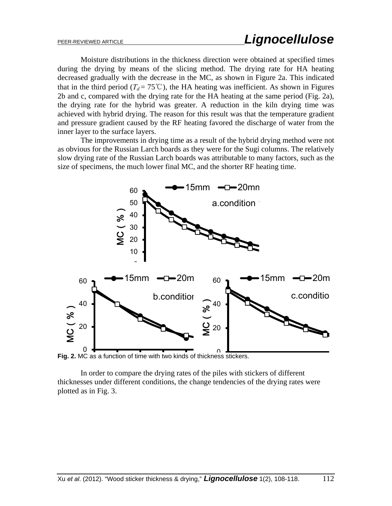Moisture distributions in the thickness direction were obtained at specified times during the drying by means of the slicing method. The drying rate for HA heating decreased gradually with the decrease in the MC, as shown in Figure 2a. This indicated that in the third period ( $T_d = 75^{\circ}\text{C}$ ), the HA heating was inefficient. As shown in Figures 2b and c, compared with the drying rate for the HA heating at the same period (Fig. 2a), the drying rate for the hybrid was greater. A reduction in the kiln drying time was achieved with hybrid drying. The reason for this result was that the temperature gradient and pressure gradient caused by the RF heating favored the discharge of water from the inner layer to the surface layers.

The improvements in drying time as a result of the hybrid drying method were not as obvious for the Russian Larch boards as they were for the Sugi columns. The relatively slow drying rate of the Russian Larch boards was attributable to many factors, such as the size of specimens, the much lower final MC, and the shorter RF heating time.



0 0 **Fig. 2.** MC as a function of time with two kinds of thickness stickers.

In order to compare the drying rates of the piles with stickers of different thicknesses under different conditions, the change tendencies of the drying rates were plotted as in Fig. 3.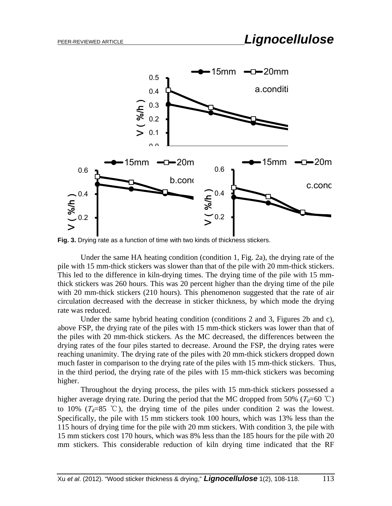

**Fig. 3.** Drying rate as a function of time with two kinds of thickness stickers.

Under the same HA heating condition (condition 1, Fig. 2a), the drying rate of the pile with 15 mm-thick stickers was slower than that of the pile with 20 mm-thick stickers. This led to the difference in kiln-drying times. The drying time of the pile with 15 mmthick stickers was 260 hours. This was 20 percent higher than the drying time of the pile with 20 mm-thick stickers (210 hours). This phenomenon suggested that the rate of air circulation decreased with the decrease in sticker thickness, by which mode the drying rate was reduced.

Under the same hybrid heating condition (conditions 2 and 3, Figures 2b and c), above FSP, the drying rate of the piles with 15 mm-thick stickers was lower than that of the piles with 20 mm-thick stickers. As the MC decreased, the differences between the drying rates of the four piles started to decrease. Around the FSP, the drying rates were reaching unanimity. The drying rate of the piles with 20 mm-thick stickers dropped down much faster in comparison to the drying rate of the piles with 15 mm-thick stickers. Thus, in the third period, the drying rate of the piles with 15 mm-thick stickers was becoming higher.

Throughout the drying process, the piles with 15 mm-thick stickers possessed a higher average drying rate. During the period that the MC dropped from 50% ( $T_d$ =60 °C) to 10% ( $T_d=85$  °C), the drying time of the piles under condition 2 was the lowest. Specifically, the pile with 15 mm stickers took 100 hours, which was 13% less than the 115 hours of drying time for the pile with 20 mm stickers. With condition 3, the pile with 15 mm stickers cost 170 hours, which was 8% less than the 185 hours for the pile with 20 mm stickers. This considerable reduction of kiln drying time indicated that the RF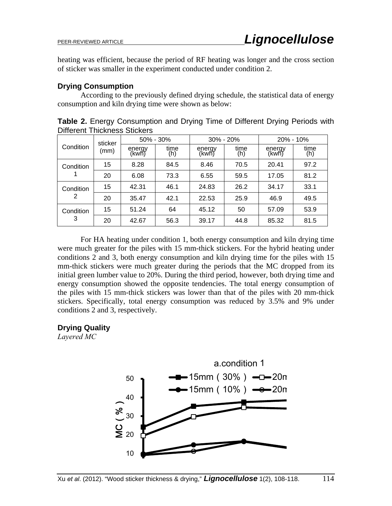heating was efficient, because the period of RF heating was longer and the cross section of sticker was smaller in the experiment conducted under condition 2.

## **Drying Consumption**

According to the previously defined drying schedule, the statistical data of energy consumption and kiln drying time were shown as below:

**Table 2.** Energy Consumption and Drying Time of Different Drying Periods with Different Thickness Stickers

|           | sticker |                  | $50\% - 30\%$ |                  | $30\% - 20\%$ |                  | $20\% - 10\%$ |
|-----------|---------|------------------|---------------|------------------|---------------|------------------|---------------|
| Condition | (mm)    | energy<br>(kwh̃) | time<br>(h)   | energy<br>(kwh̃) | time<br>(h)   | energy<br>(kwh̃) | time<br>(h)   |
| Condition | 15      | 8.28             | 84.5          | 8.46             | 70.5          | 20.41            | 97.2          |
|           | 20      | 6.08             | 73.3          | 6.55             | 59.5          | 17.05            | 81.2          |
| Condition | 15      | 42.31            | 46.1          | 24.83            | 26.2          | 34.17            | 33.1          |
| 2         | 20      | 35.47            | 42.1          | 22.53            | 25.9          | 46.9             | 49.5          |
| Condition | 15      | 51.24            | 64            | 45.12            | 50            | 57.09            | 53.9          |
| 3         | 20      | 42.67            | 56.3          | 39.17            | 44.8          | 85.32            | 81.5          |

For HA heating under condition 1, both energy consumption and kiln drying time were much greater for the piles with 15 mm-thick stickers. For the hybrid heating under conditions 2 and 3, both energy consumption and kiln drying time for the piles with 15 mm-thick stickers were much greater during the periods that the MC dropped from its initial green lumber value to 20%. During the third period, however, both drying time and energy consumption showed the opposite tendencies. The total energy consumption of the piles with 15 mm-thick stickers was lower than that of the piles with 20 mm-thick stickers. Specifically, total energy consumption was reduced by 3.5% and 9% under conditions 2 and 3, respectively.

## **Drying Quality**

*Layered MC* 

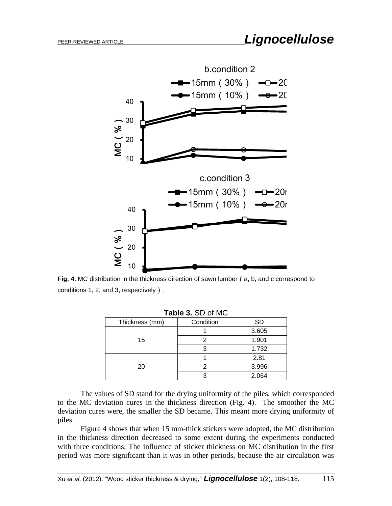

**Fig. 4.** MC distribution in the thickness direction of sawn lumber (a, b, and c correspond to conditions 1, 2, and 3, respectively).

|                | <b>Table 3. SD OF MIC</b> |           |
|----------------|---------------------------|-----------|
| Thickness (mm) | Condition                 | <b>SD</b> |
|                |                           | 3.605     |
| 15             |                           | 1.901     |
|                | 3                         | 1.732     |
|                |                           | 2.81      |
| 20             |                           | 3.996     |
|                | ว                         | 2.064     |

| Table 3. SD of MC |
|-------------------|
|-------------------|

The values of SD stand for the drying uniformity of the piles, which corresponded to the MC deviation cures in the thickness direction (Fig. 4). The smoother the MC deviation cures were, the smaller the SD became. This meant more drying uniformity of piles.

Figure 4 shows that when 15 mm-thick stickers were adopted, the MC distribution in the thickness direction decreased to some extent during the experiments conducted with three conditions. The influence of sticker thickness on MC distribution in the first period was more significant than it was in other periods, because the air circulation was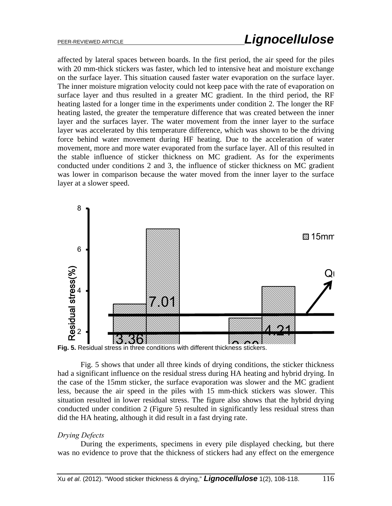affected by lateral spaces between boards. In the first period, the air speed for the piles with 20 mm-thick stickers was faster, which led to intensive heat and moisture exchange on the surface layer. This situation caused faster water evaporation on the surface layer. The inner moisture migration velocity could not keep pace with the rate of evaporation on surface layer and thus resulted in a greater MC gradient. In the third period, the RF heating lasted for a longer time in the experiments under condition 2. The longer the RF heating lasted, the greater the temperature difference that was created between the inner layer and the surfaces layer. The water movement from the inner layer to the surface layer was accelerated by this temperature difference, which was shown to be the driving force behind water movement during HF heating. Due to the acceleration of water movement, more and more water evaporated from the surface layer. All of this resulted in the stable influence of sticker thickness on MC gradient. As for the experiments conducted under conditions 2 and 3, the influence of sticker thickness on MC gradient was lower in comparison because the water moved from the inner layer to the surface layer at a slower speed.





Fig. 5 shows that under all three kinds of drying conditions, the sticker thickness had a significant influence on the residual stress during HA heating and hybrid drying. In the case of the 15mm sticker, the surface evaporation was slower and the MC gradient less, because the air speed in the piles with 15 mm-thick stickers was slower. This situation resulted in lower residual stress. The figure also shows that the hybrid drying conducted under condition 2 (Figure 5) resulted in significantly less residual stress than did the HA heating, although it did result in a fast drying rate.

#### *Drying Defects*

During the experiments, specimens in every pile displayed checking, but there was no evidence to prove that the thickness of stickers had any effect on the emergence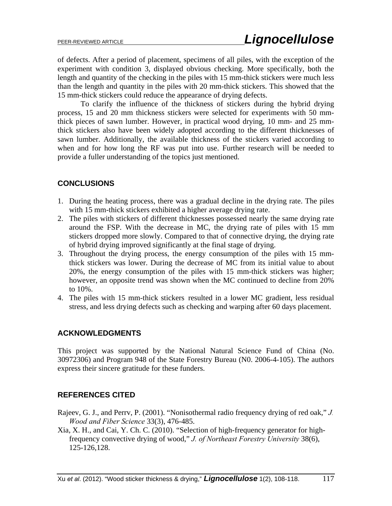of defects. After a period of placement, specimens of all piles, with the exception of the experiment with condition 3, displayed obvious checking. More specifically, both the length and quantity of the checking in the piles with 15 mm-thick stickers were much less than the length and quantity in the piles with 20 mm-thick stickers. This showed that the 15 mm-thick stickers could reduce the appearance of drying defects.

To clarify the influence of the thickness of stickers during the hybrid drying process, 15 and 20 mm thickness stickers were selected for experiments with 50 mmthick pieces of sawn lumber. However, in practical wood drying, 10 mm- and 25 mmthick stickers also have been widely adopted according to the different thicknesses of sawn lumber. Additionally, the available thickness of the stickers varied according to when and for how long the RF was put into use. Further research will be needed to provide a fuller understanding of the topics just mentioned.

# **CONCLUSIONS**

- 1. During the heating process, there was a gradual decline in the drying rate. The piles with 15 mm-thick stickers exhibited a higher average drying rate.
- 2. The piles with stickers of different thicknesses possessed nearly the same drying rate around the FSP. With the decrease in MC, the drying rate of piles with 15 mm stickers dropped more slowly. Compared to that of connective drying, the drying rate of hybrid drying improved significantly at the final stage of drying.
- 3. Throughout the drying process, the energy consumption of the piles with 15 mmthick stickers was lower. During the decrease of MC from its initial value to about 20%, the energy consumption of the piles with 15 mm-thick stickers was higher; however, an opposite trend was shown when the MC continued to decline from 20% to 10%.
- 4. The piles with 15 mm-thick stickers resulted in a lower MC gradient, less residual stress, and less drying defects such as checking and warping after 60 days placement.

## **ACKNOWLEDGMENTS**

This project was supported by the National Natural Science Fund of China (No. 30972306) and Program 948 of the State Forestry Bureau (N0. 2006-4-105). The authors express their sincere gratitude for these funders.

## **REFERENCES CITED**

- Rajeev, G. J., and Perrv, P. (2001). "Nonisothermal radio frequency drying of red oak," *J. Wood and Fiber Science* 33(3), 476-485.
- Xia, X. H., and Cai, Y. Ch. C. (2010). "Selection of high-frequency generator for highfrequency convective drying of wood," *J. of Northeast Forestry University* 38(6), 125-126,128.